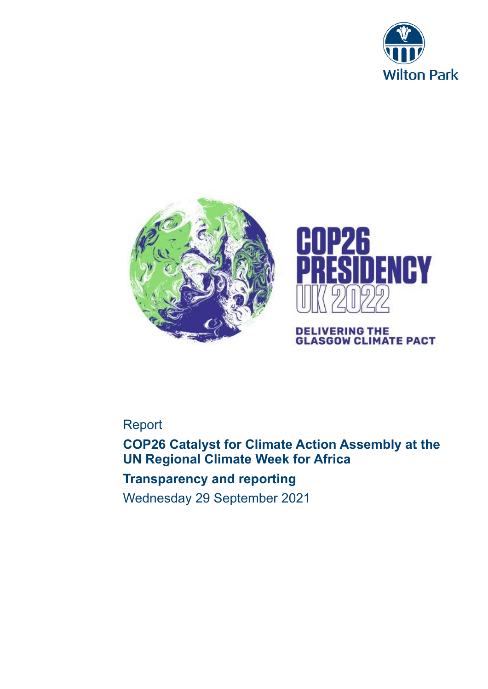





# **DELIVERING THE<br>GLASGOW CLIMATE PACT**

# Report

**COP26 Catalyst for Climate Action Assembly at the UN Regional Climate Week for Africa**

# **Transparency and reporting**

Wednesday 29 September 2021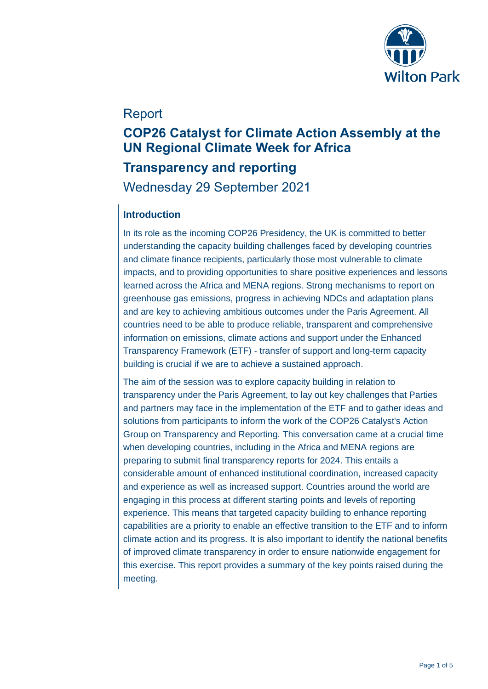

## Report

# **COP26 Catalyst for Climate Action Assembly at the UN Regional Climate Week for Africa**

# **Transparency and reporting**  Wednesday 29 September 2021

### **Introduction**

In its role as the incoming COP26 Presidency, the UK is committed to better understanding the capacity building challenges faced by developing countries and climate finance recipients, particularly those most vulnerable to climate impacts, and to providing opportunities to share positive experiences and lessons learned across the Africa and MENA regions. Strong mechanisms to report on greenhouse gas emissions, progress in achieving NDCs and adaptation plans and are key to achieving ambitious outcomes under the Paris Agreement. All countries need to be able to produce reliable, transparent and comprehensive information on emissions, climate actions and support under the Enhanced Transparency Framework (ETF) - transfer of support and long-term capacity building is crucial if we are to achieve a sustained approach.

The aim of the session was to explore capacity building in relation to transparency under the Paris Agreement, to lay out key challenges that Parties and partners may face in the implementation of the ETF and to gather ideas and solutions from participants to inform the work of the COP26 Catalyst's Action Group on Transparency and Reporting. This conversation came at a crucial time when developing countries, including in the Africa and MENA regions are preparing to submit final transparency reports for 2024. This entails a considerable amount of enhanced institutional coordination, increased capacity and experience as well as increased support. Countries around the world are engaging in this process at different starting points and levels of reporting experience. This means that targeted capacity building to enhance reporting capabilities are a priority to enable an effective transition to the ETF and to inform climate action and its progress. It is also important to identify the national benefits of improved climate transparency in order to ensure nationwide engagement for this exercise. This report provides a summary of the key points raised during the meeting.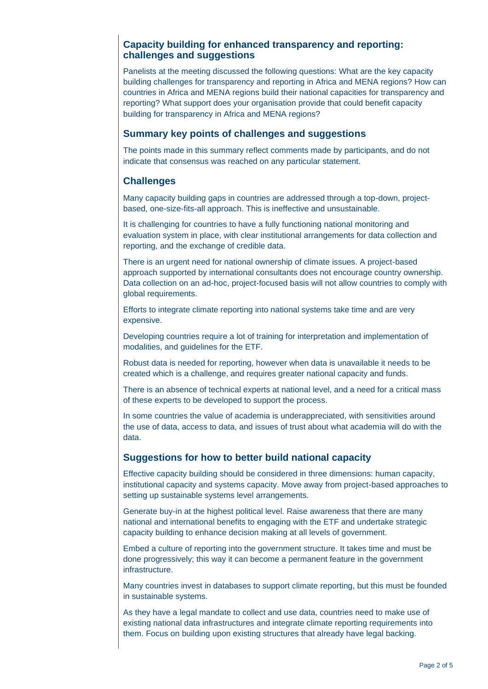#### **Capacity building for enhanced transparency and reporting: challenges and suggestions**

Panelists at the meeting discussed the following questions: What are the key capacity building challenges for transparency and reporting in Africa and MENA regions? How can countries in Africa and MENA regions build their national capacities for transparency and reporting? What support does your organisation provide that could benefit capacity building for transparency in Africa and MENA regions?

#### **Summary key points of challenges and suggestions**

The points made in this summary reflect comments made by participants, and do not indicate that consensus was reached on any particular statement.

#### **Challenges**

Many capacity building gaps in countries are addressed through a top-down, projectbased, one-size-fits-all approach. This is ineffective and unsustainable.

It is challenging for countries to have a fully functioning national monitoring and evaluation system in place, with clear institutional arrangements for data collection and reporting, and the exchange of credible data.

There is an urgent need for national ownership of climate issues. A project-based approach supported by international consultants does not encourage country ownership. Data collection on an ad-hoc, project-focused basis will not allow countries to comply with global requirements.

Efforts to integrate climate reporting into national systems take time and are very expensive.

Developing countries require a lot of training for interpretation and implementation of modalities, and guidelines for the ETF.

Robust data is needed for reporting, however when data is unavailable it needs to be created which is a challenge, and requires greater national capacity and funds.

There is an absence of technical experts at national level, and a need for a critical mass of these experts to be developed to support the process.

In some countries the value of academia is underappreciated, with sensitivities around the use of data, access to data, and issues of trust about what academia will do with the data.

#### **Suggestions for how to better build national capacity**

Effective capacity building should be considered in three dimensions: human capacity, institutional capacity and systems capacity. Move away from project-based approaches to setting up sustainable systems level arrangements.

Generate buy-in at the highest political level. Raise awareness that there are many national and international benefits to engaging with the ETF and undertake strategic capacity building to enhance decision making at all levels of government.

Embed a culture of reporting into the government structure. It takes time and must be done progressively; this way it can become a permanent feature in the government infrastructure.

Many countries invest in databases to support climate reporting, but this must be founded in sustainable systems.

As they have a legal mandate to collect and use data, countries need to make use of existing national data infrastructures and integrate climate reporting requirements into them. Focus on building upon existing structures that already have legal backing.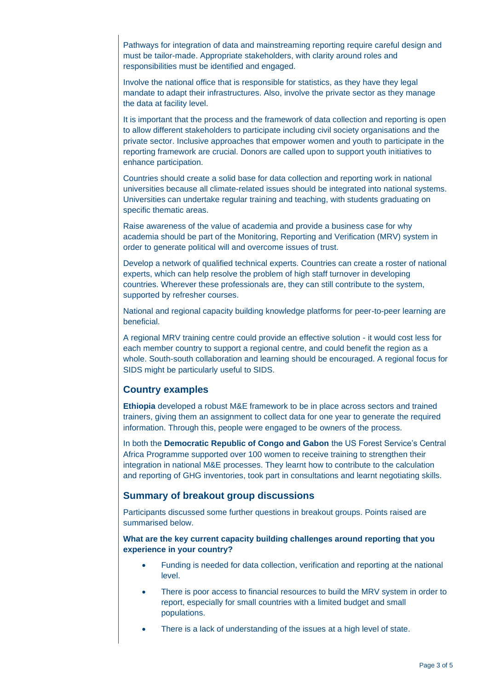Pathways for integration of data and mainstreaming reporting require careful design and must be tailor-made. Appropriate stakeholders, with clarity around roles and responsibilities must be identified and engaged.

Involve the national office that is responsible for statistics, as they have they legal mandate to adapt their infrastructures. Also, involve the private sector as they manage the data at facility level.

It is important that the process and the framework of data collection and reporting is open to allow different stakeholders to participate including civil society organisations and the private sector. Inclusive approaches that empower women and youth to participate in the reporting framework are crucial. Donors are called upon to support youth initiatives to enhance participation.

Countries should create a solid base for data collection and reporting work in national universities because all climate-related issues should be integrated into national systems. Universities can undertake regular training and teaching, with students graduating on specific thematic areas.

Raise awareness of the value of academia and provide a business case for why academia should be part of the Monitoring, Reporting and Verification (MRV) system in order to generate political will and overcome issues of trust.

Develop a network of qualified technical experts. Countries can create a roster of national experts, which can help resolve the problem of high staff turnover in developing countries. Wherever these professionals are, they can still contribute to the system, supported by refresher courses.

National and regional capacity building knowledge platforms for peer-to-peer learning are beneficial.

A regional MRV training centre could provide an effective solution - it would cost less for each member country to support a regional centre, and could benefit the region as a whole. South-south collaboration and learning should be encouraged. A regional focus for SIDS might be particularly useful to SIDS.

#### **Country examples**

**Ethiopia** developed a robust M&E framework to be in place across sectors and trained trainers, giving them an assignment to collect data for one year to generate the required information. Through this, people were engaged to be owners of the process.

In both the **Democratic Republic of Congo and Gabon** the US Forest Service's Central Africa Programme supported over 100 women to receive training to strengthen their integration in national M&E processes. They learnt how to contribute to the calculation and reporting of GHG inventories, took part in consultations and learnt negotiating skills.

#### **Summary of breakout group discussions**

Participants discussed some further questions in breakout groups. Points raised are summarised below.

#### **What are the key current capacity building challenges around reporting that you experience in your country?**

- Funding is needed for data collection, verification and reporting at the national level.
- There is poor access to financial resources to build the MRV system in order to report, especially for small countries with a limited budget and small populations.
- There is a lack of understanding of the issues at a high level of state.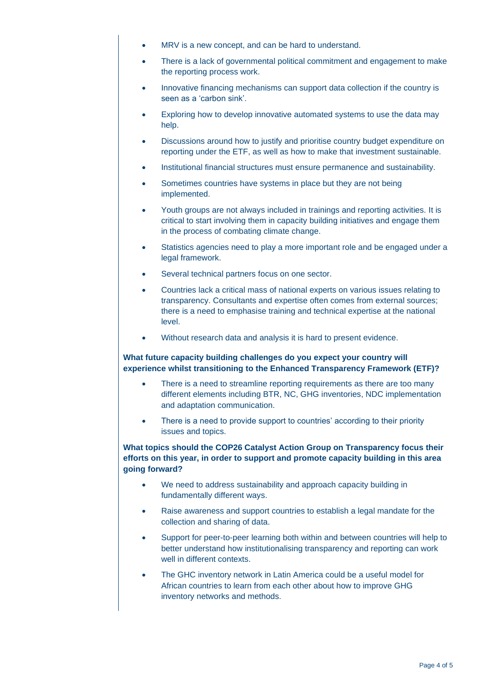- MRV is a new concept, and can be hard to understand.
- There is a lack of governmental political commitment and engagement to make the reporting process work.
- Innovative financing mechanisms can support data collection if the country is seen as a 'carbon sink'.
- Exploring how to develop innovative automated systems to use the data may help.
- Discussions around how to justify and prioritise country budget expenditure on reporting under the ETF, as well as how to make that investment sustainable.
- Institutional financial structures must ensure permanence and sustainability.
- Sometimes countries have systems in place but they are not being implemented.
- Youth groups are not always included in trainings and reporting activities. It is critical to start involving them in capacity building initiatives and engage them in the process of combating climate change.
- Statistics agencies need to play a more important role and be engaged under a legal framework.
- Several technical partners focus on one sector.
- Countries lack a critical mass of national experts on various issues relating to transparency. Consultants and expertise often comes from external sources; there is a need to emphasise training and technical expertise at the national level.
- Without research data and analysis it is hard to present evidence.

#### **What future capacity building challenges do you expect your country will experience whilst transitioning to the Enhanced Transparency Framework (ETF)?**

- There is a need to streamline reporting requirements as there are too many different elements including BTR, NC, GHG inventories, NDC implementation and adaptation communication.
- There is a need to provide support to countries' according to their priority issues and topics.

#### **What topics should the COP26 Catalyst Action Group on Transparency focus their efforts on this year, in order to support and promote capacity building in this area going forward?**

- We need to address sustainability and approach capacity building in fundamentally different ways.
- Raise awareness and support countries to establish a legal mandate for the collection and sharing of data.
- Support for peer-to-peer learning both within and between countries will help to better understand how institutionalising transparency and reporting can work well in different contexts.
- The GHC inventory network in Latin America could be a useful model for African countries to learn from each other about how to improve GHG inventory networks and methods.